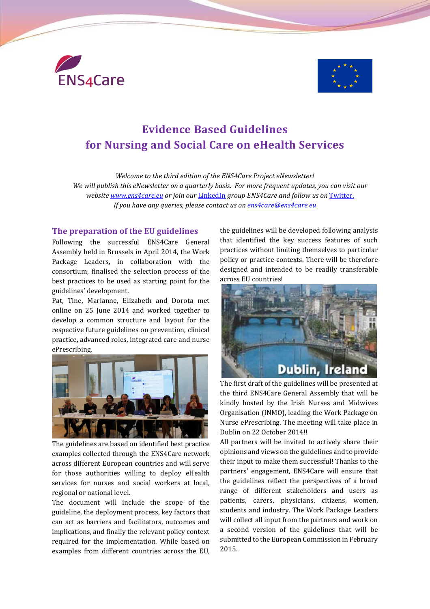



# **Evidence Based Guidelines for Nursing and Social Care on eHealth Services**

*Welcome to the third edition of the ENS4Care Project eNewsletter! We will publish this eNewsletter on a quarterly basis. For more frequent updates, you can visit our website [www.ens4care.eu](http://www.ens4care.eu/) or join our* [LinkedIn](http://www.linkedin.com/groups?gid=7448022&mostPopular=&trk=tyah&trkInfo=tas%253AENS4Care%252Cidx%253A1-1-1) *group ENS4Care and follow us on* [Twitter.](https://twitter.com/ens4care) *If you have any queries, please contact us on [ens4care@ens4care.eu](mailto:ens4care@ens4care.eu)*

#### **The preparation of the EU guidelines**

Following the successful ENS4Care General Assembly held in Brussels in April 2014, the Work Package Leaders, in collaboration with the consortium, finalised the selection process of the best practices to be used as starting point for the guidelines' development.

Pat, Tine, Marianne, Elizabeth and Dorota met online on 25 June 2014 and worked together to develop a common structure and layout for the respective future guidelines on prevention, clinical practice, advanced roles, integrated care and nurse ePrescribing.



The guidelines are based on identified best practice examples collected through the ENS4Care network across different European countries and will serve for those authorities willing to deploy eHealth services for nurses and social workers at local, regional or national level.

The document will include the scope of the guideline, the deployment process, key factors that can act as barriers and facilitators, outcomes and implications, and finally the relevant policy context required for the implementation. While based on examples from different countries across the EU, the guidelines will be developed following analysis that identified the key success features of such practices without limiting themselves to particular policy or practice contexts. There will be therefore designed and intended to be readily transferable across EU countries!



The first draft of the guidelines will be presented at the third ENS4Care General Assembly that will be kindly hosted by the Irish Nurses and Midwives Organisation (INMO), leading the Work Package on Nurse ePrescribing. The meeting will take place in Dublin on 22 October 2014!!

All partners will be invited to actively share their opinions and views on the guidelines and to provide their input to make them successful! Thanks to the partners' engagement, ENS4Care will ensure that the guidelines reflect the perspectives of a broad range of different stakeholders and users as patients, carers, physicians, citizens, women, students and industry. The Work Package Leaders will collect all input from the partners and work on a second version of the guidelines that will be submitted to the European Commission in February 2015.